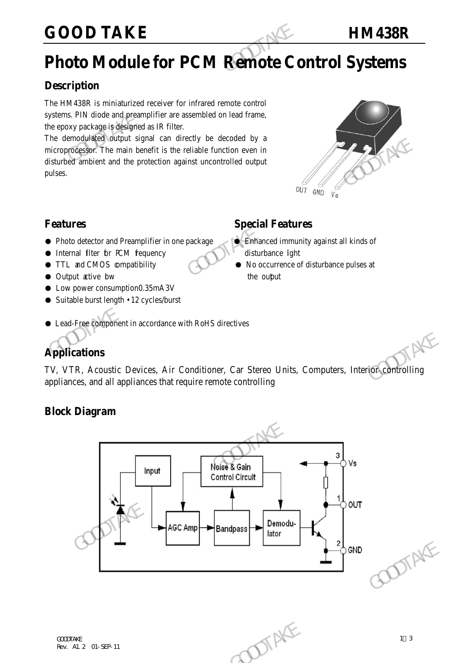# **GOOD TAKE HM438R**

# **Photo Module for PCM Remote Control Systems**

## **Description**

The HM438R is miniaturized receiver for infrared remote control systems. PIN diode and preamplifier are assembled on lead frame, the epoxy package is designed as IR filter.

The demodulated output signal can directly be decoded by a microprocessor. The main benefit is the reliable function even in disturbed ambient and the protection against uncontrolled output pulses. **GOOD TAKE**<br> **Photo Module for PCM Remote Condemnation**<br>
The HM438R is miniaturized receiver for infrared remote control<br>
systems. PIN diode and preamplifier are assembled on lead frame,<br>
the epoxy package is designed as I The memorial of output signal can directly be decoded by a<br>microprocessor. The main benefit is the reliable function even in<br>disturbed ambient and the protection against uncontrolled output<br>pulses.<br> **Special Features**<br> **Ph** 



## **Features** Special Features

- Photo detector and Preamplifier in one package Britannied immunity against all kinds of
- Internal filter for PCM frequency disturbance light
- TTL and CMOS compatibility No occurrence of disturbance pulses at
- Output active bw the output
- Low power consumption0.35mA3V
- Suitable burst length 12 cycles/burst
- Lead-Free component in accordance with RoHS directives

# **Applications**

TV, VTR, Acoustic Devices, Air Conditioner, Car Stereo Units, Computers, Interior controlling appliances, and all appliances that require remote controlling

### **Block Diagram**

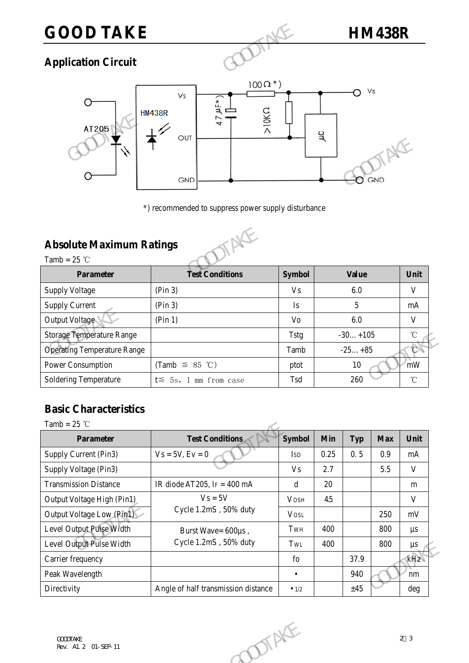# **GOOD TAKE HM438R**

# **Application Circuit**

![](_page_1_Figure_3.jpeg)

## **Absolute Maximum Ratings**

![](_page_1_Picture_6.jpeg)

|                                                | UUI<br><b>GND</b>                                   |                | ᅠ<br>GND     |                               |
|------------------------------------------------|-----------------------------------------------------|----------------|--------------|-------------------------------|
|                                                | *) recommended to suppress power supply disturbance |                |              |                               |
| <b>Absolute Maximum Ratings</b>                |                                                     |                |              |                               |
| Tamb = $25$ °C<br><b>Parameter</b>             | <b>Test Conditions</b>                              | <b>Symbol</b>  | <b>Value</b> | Unit                          |
|                                                |                                                     |                |              |                               |
|                                                | (Pin 3)                                             | V <sub>s</sub> | 6.0          | V                             |
| <b>Supply Voltage</b><br><b>Supply Current</b> | (Pin 3)                                             | Is             | 5            |                               |
| Output Voltage                                 | (Pin 1)                                             | Vo             | 6.0          |                               |
| <b>Storage Temperature Range</b>               |                                                     | <b>Tstg</b>    | $-30+105$    |                               |
| <b>Operating Temperature Range</b>             |                                                     | Tamb           | $-25+85$     |                               |
| Power Consumption                              | (Tamb $\leq$ 85 °C)                                 | ptot           | 10           | mA<br>V<br>$^{\circ}$ C<br>mW |

# **Basic Characteristics**

| <b>Operating Temperature Range</b>                            |               |                  | $-30+105$  |                   | °C           |
|---------------------------------------------------------------|---------------|------------------|------------|-------------------|--------------|
|                                                               | Tamb          |                  | $-25+85$   |                   |              |
| Power Consumption<br>(Tamb $\leq$ 85 °C)                      | ptot          | 10<br>260<br>Tsd |            | mW                |              |
| Soldering Temperature<br>$t \leq 5s$ , 1 mm from case         |               |                  |            | $^\circ\!{\rm C}$ |              |
|                                                               |               |                  |            |                   |              |
| <b>Basic Characteristics</b>                                  |               |                  |            |                   |              |
| Tamb = $25$ °C                                                |               |                  |            |                   |              |
| <b>Test Conditions</b><br><b>Parameter</b>                    | Symbol        | Min              | <b>Typ</b> | <b>Max</b>        | Unit         |
| Supply Current (Pin3)<br>$Vs = 5V, Ev = 0$                    | <b>ISD</b>    | 0.25             | 0.5        | 0.9               | mA           |
| Supply Voltage (Pin3)                                         | <b>Vs</b>     | 2.7              |            | 5.5               | $\mathbf{V}$ |
| <b>Transmission Distance</b><br>IR diode AT205, IF = $400$ mA | $\mathbf d$   | 20               |            |                   | m            |
| $V_s = 5V$<br>Output Voltage High (Pin1)                      | <b>VOSH</b>   | 4.5              |            |                   | V            |
| Cycle 1.2mS, 50% duty<br>Output Voltage Low (Pin1)            | <b>VOSL</b>   |                  |            | 250               | mV           |
| Level Output Pulse Width<br>Burst Wave= 600us,                | TwH           | 400              |            | 800               | $\mu s$      |
| Cycle 1.2mS, 50% duty<br>Level Output Pulse Width             | TwL           | 400              |            | 800               | $\mu s$      |
| Carrier frequency                                             | fo            |                  | 37.9       |                   | kHz          |
| Peak Wavelength                                               | $\bullet$     |                  | 940        |                   | nm           |
| Directivity<br>Angle of half transmission distance            | $\bullet$ 1/2 |                  | ±45        |                   | deg          |